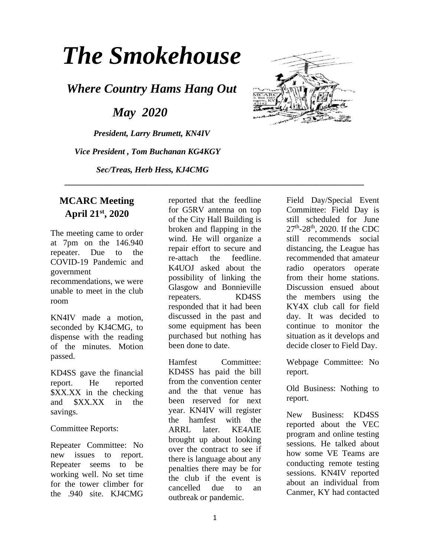# *The Smokehouse*

*Where Country Hams Hang Out*

 *May 2020*

*President, Larry Brumett, KN4IV*

 *Vice President , Tom Buchanan KG4KGY*

*Sec/Treas, Herb Hess, KJ4CMG*

### **MCARC Meeting April 21st, 2020**

The meeting came to order at 7pm on the 146.940 repeater. Due to the COVID-19 Pandemic and government recommendations, we were unable to meet in the club room

KN4IV made a motion, seconded by KJ4CMG, to dispense with the reading of the minutes. Motion passed.

KD4SS gave the financial report. He reported \$XX.XX in the checking and \$XX.XX in the savings.

#### Committee Reports:

Repeater Committee: No new issues to report. Repeater seems to be working well. No set time for the tower climber for the .940 site. KJ4CMG

reported that the feedline for G5RV antenna on top of the City Hall Building is broken and flapping in the wind. He will organize a repair effort to secure and re-attach the feedline. K4UOJ asked about the possibility of linking the Glasgow and Bonnieville repeaters. KD4SS responded that it had been discussed in the past and some equipment has been purchased but nothing has been done to date.

 **\_\_\_\_\_\_\_\_\_\_\_\_\_\_\_\_\_\_\_\_\_\_\_\_\_\_\_\_\_\_\_\_\_\_\_\_\_\_\_\_\_\_\_\_\_\_\_\_\_\_\_\_\_\_\_\_\_\_\_\_\_\_\_\_\_\_\_\_\_\_\_**

Hamfest Committee: KD4SS has paid the bill from the convention center and the that venue has been reserved for next year. KN4IV will register the hamfest with the ARRL later. KE4AIE brought up about looking over the contract to see if there is language about any penalties there may be for the club if the event is cancelled due to an outbreak or pandemic.



Field Day/Special Event Committee: Field Day is still scheduled for June  $27<sup>th</sup> - 28<sup>th</sup>$ , 2020. If the CDC still recommends social distancing, the League has recommended that amateur radio operators operate from their home stations. Discussion ensued about the members using the KY4X club call for field day. It was decided to continue to monitor the situation as it develops and decide closer to Field Day.

Webpage Committee: No report.

Old Business: Nothing to report.

New Business: KD4SS reported about the VEC program and online testing sessions. He talked about how some VE Teams are conducting remote testing sessions. KN4IV reported about an individual from Canmer, KY had contacted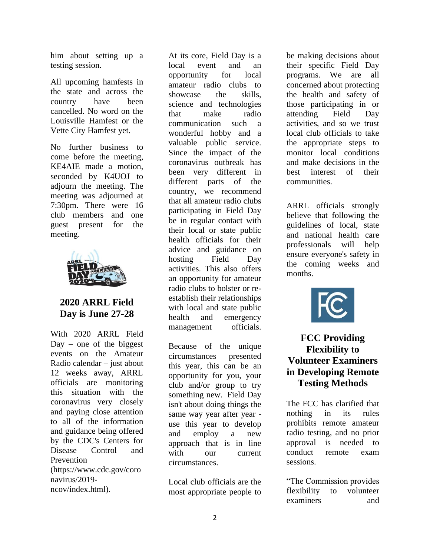him about setting up a testing session.

All upcoming hamfests in the state and across the country have been cancelled. No word on the Louisville Hamfest or the Vette City Hamfest yet.

No further business to come before the meeting, KE4AIE made a motion, seconded by K4UOJ to adjourn the meeting. The meeting was adjourned at 7:30pm. There were 16 club members and one guest present for the meeting.



#### **2020 ARRL Field Day is June 27-28**

With 2020 ARRL Field  $Day - one of the biggest$ events on the Amateur Radio calendar – just about 12 weeks away, ARRL officials are monitoring this situation with the coronavirus very closely and paying close attention to all of the information and guidance being offered by the CDC's Centers for Disease Control and Prevention (https://www.cdc.gov/coro navirus/2019 ncov/index.html).

At its core, Field Day is a local event and an opportunity for local amateur radio clubs to showcase the skills, science and technologies that make radio communication such a wonderful hobby and a valuable public service. Since the impact of the coronavirus outbreak has been very different in different parts of the country, we recommend that all amateur radio clubs participating in Field Day be in regular contact with their local or state public health officials for their advice and guidance on hosting Field Day activities. This also offers an opportunity for amateur radio clubs to bolster or reestablish their relationships with local and state public health and emergency management officials.

Because of the unique circumstances presented this year, this can be an opportunity for you, your club and/or group to try something new. Field Day isn't about doing things the same way year after year use this year to develop and employ a new approach that is in line with our current circumstances.

Local club officials are the most appropriate people to be making decisions about their specific Field Day programs. We are all concerned about protecting the health and safety of those participating in or attending Field Day activities, and so we trust local club officials to take the appropriate steps to monitor local conditions and make decisions in the best interest of their communities.

ARRL officials strongly believe that following the guidelines of local, state and national health care professionals will help ensure everyone's safety in the coming weeks and months.



## **FCC Providing Flexibility to Volunteer Examiners in Developing Remote Testing Methods**

The FCC has clarified that nothing in its rules prohibits remote amateur radio testing, and no prior approval is needed to conduct remote exam sessions.

"The Commission provides flexibility to volunteer examiners and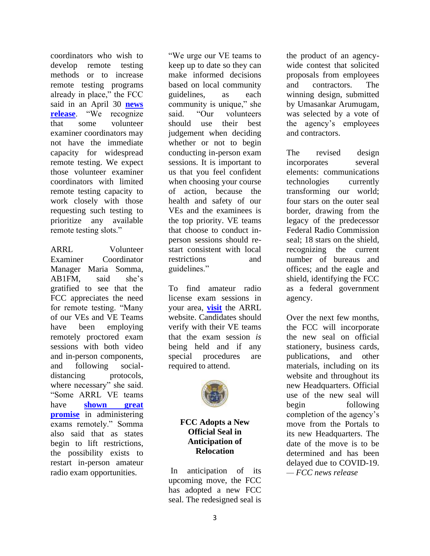coordinators who wish to develop remote testing methods or to increase remote testing programs already in place," the FCC said in an April 30 **[news](https://docs.fcc.gov/public/attachments/DA-20-467A1.pdf)  [release](https://docs.fcc.gov/public/attachments/DA-20-467A1.pdf)**. "We recognize that some volunteer examiner coordinators may not have the immediate capacity for widespread remote testing. We expect those volunteer examiner coordinators with limited remote testing capacity to work closely with those requesting such testing to prioritize any available remote testing slots."

ARRL Volunteer Examiner Coordinator Manager Maria Somma, AB1FM, said she's gratified to see that the FCC appreciates the need for remote testing. "Many of our VEs and VE Teams have been employing remotely proctored exam sessions with both video and in-person components, and following socialdistancing protocols, where necessary" she said. "Some ARRL VE teams have **[shown great](http://www.arrl.org/news/remotely-administered-amateur-exam-systems-showing-promise)  [promise](http://www.arrl.org/news/remotely-administered-amateur-exam-systems-showing-promise)** in administering exams remotely." Somma also said that as states begin to lift restrictions, the possibility exists to restart in-person amateur radio exam opportunities.

"We urge our VE teams to keep up to date so they can make informed decisions based on local community guidelines, as each community is unique," she said. "Our volunteers should use their best judgement when deciding whether or not to begin conducting in-person exam sessions. It is important to us that you feel confident when choosing your course of action, because the health and safety of our VEs and the examinees is the top priority. VE teams that choose to conduct inperson sessions should restart consistent with local restrictions and guidelines."

To find amateur radio license exam sessions in your area, **[visit](http://www.arrl.org/exam)** the ARRL website. Candidates should verify with their VE teams that the exam session *is* being held and if any special procedures are required to attend.



#### **FCC Adopts a New Official Seal in Anticipation of Relocation**

In anticipation of its upcoming move, the FCC has adopted a new FCC seal. The redesigned seal is the product of an agencywide contest that solicited proposals from employees and contractors. The winning design, submitted by Umasankar Arumugam, was selected by a vote of the agency's employees and contractors.

The revised design incorporates several elements: communications technologies currently transforming our world; four stars on the outer seal border, drawing from the legacy of the predecessor Federal Radio Commission seal; 18 stars on the shield, recognizing the current number of bureaus and offices; and the eagle and shield, identifying the FCC as a federal government agency.

Over the next few months, the FCC will incorporate the new seal on official stationery, business cards, publications, and other materials, including on its website and throughout its new Headquarters. Official use of the new seal will begin following completion of the agency's move from the Portals to its new Headquarters. The date of the move is to be determined and has been delayed due to COVID-19. *— FCC news release*